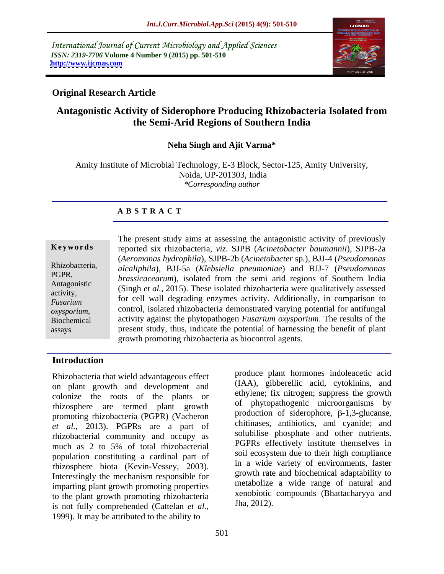International Journal of Current Microbiology and Applied Sciences *ISSN: 2319-7706* **Volume 4 Number 9 (2015) pp. 501-510 <http://www.ijcmas.com>**



### **Original Research Article**

# **Antagonistic Activity of Siderophore Producing Rhizobacteria Isolated from the Semi-Arid Regions of Southern India**

#### **Neha Singh and Ajit Varma\***

Amity Institute of Microbial Technology, E-3 Block, Sector-125, Amity University, Noida, UP-201303, India *\*Corresponding author*

#### **A B S T R A C T**

assays

The present study aims at assessing the antagonistic activity of previously reported six rhizobacteria, *viz*. SJPB (*Acinetobacter baumannii*), SJPB-2a **Ke ywo rds** (*Aeromonas hydrophila*), SJPB-2b (*Acinetobacter* sp*.*), BJJ-4 (*Pseudomonas alcaliphila*), BJJ-5a (*Klebsiella pneumoniae*) and BJJ-7 (*Pseudomonas*  Rhizobacteria, *brassicacearum*), isolated from the semi arid regions of Southern India PGPR, Antagonistic Chassicated *al.,* 2015). These isolated rhizobacteria were qualitatively assessed activity,<br>
Fusarium for cell wall degrading enzymes activity. Additionally, in comparison to control, isolated rhizobacteria demonstrated varying potential for antifungal oxysporium, control, isolated rhizobacteria demonstrated varying potential for antitungal control, isolated rhizobacteria demonstrated varying potential for antitungal activity against the phytopathogen *Fusarium oxysporiu* present study, thus, indicate the potential of harnessing the benefit of plant growth promoting rhizobacteria as biocontrol agents. *Fusarium* 101 cent wan degrading enzymes activity. Additionally, in comparison to

#### **Introduction**

Rhizobacteria that wield advantageous effect on plant growth and development and colonize the roots of the plants or rhizosphere are termed plant growth promoting rhizobacteria (PGPR) (Vacheron *et al.,* 2013). PGPRs are a part of rhizobacterial community and occupy as much as 2 to 5% of total rhizobacterial population constituting a cardinal part of rhizosphere biota (Kevin-Vessey, 2003). In a wide variety of environments, faster<br>Interestingly the mechanism responsible for growth rate and biochemical adaptability to imparting plant growth promoting properties to the plant growth promoting rhizobacteria  $\frac{\text{Xenopiotic}}{\text{Jha}, 2012}$ . is not fully comprehended (Cattelan *et al.,* 1999). It may be attributed to the ability to

produce plant hormones indoleacetic acid (IAA), gibberellic acid, cytokinins, and ethylene; fix nitrogen; suppress the growth of phytopathogenic microorganisms by production of siderophore,  $\beta$ -1,3-glucanse, chitinases, antibiotics, and cyanide; and solubilise phosphate and other nutrients. PGPRs effectively institute themselves in soil ecosystem due to their high compliance in a wide variety of environments, faster growth rate and biochemical adaptability to metabolize a wide range of natural and xenobiotic compounds (Bhattacharyya and Jha, 2012).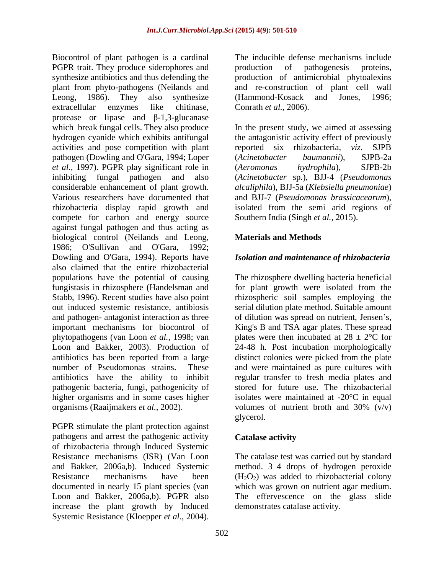Biocontrol of plant pathogen is a cardinal PGPR trait. They produce siderophores and production of pathogenesis proteins, synthesize antibiotics and thus defending the production of antimicrobial phytoalexins plant from phyto-pathogens (Neilands and and re-construction of plant cell wall Leong, 1986). They also synthesize (Hammond-Kosack and Jones, 1996; extracellular enzymes like chitinase, Conrath et al., 2006). protease or lipase and  $\beta$ -1,3-glucanase which break fungal cells. They also produce In the present study, we aimed at assessing hydrogen cyanide which exhibits antifungal the antagonistic activity effect of previously activities and pose competition with plant reported six rhizobacteria, viz. SJPB pathogen (Dowling and O'Gara, 1994; Loper (Acinetobacter baumannii), SJPB-2a *et al.,* 1997). PGPR play significant role in inhibiting fungal pathogen and also (*Acinetobacter* sp*.*), BJJ-4 (*Pseudomonas*  considerable enhancement of plant growth. Various researchers have documented that and BJJ-7 (*Pseudomonas brassicacearum*), rhizobacteria display rapid growth and isolated from the semi arid regions of compete for carbon and energy source against fungal pathogen and thus acting as biological control (Neilands and Leong, Materials and Methods 1986; O'Sullivan and O'Gara, 1992; Dowling and O'Gara, 1994). Reports have *Isolation and maintenance of rhizobacteria*  also claimed that the entire rhizobacterial populations have the potential of causing The rhizosphere dwelling bacteria beneficial fungistasis in rhizosphere (Handelsman and for plant growth were isolated from the Stabb, 1996). Recent studies have also point rhizospheric soil samples employing the out induced systemic resistance, antibiosis serial dilution plate method. Suitable amount and pathogen- antagonist interaction as three of dilution was spread on nutrient, Jensen's, important mechanisms for biocontrol of King's B and TSA agar plates. These spread phytopathogens (van Loon *et al.,* 1998; van plates were then incubated at 28 ± 2°C for Loon and Bakker, 2003). Production of 24-48 h. Post incubation morphologically antibiotics has been reported from a large distinct colonies were picked from the plate number of Pseudomonas strains. These and were maintained as pure cultures with antibiotics have the ability to inhibit regular transfer to fresh media plates and pathogenic bacteria, fungi, pathogenicity of stored for future use. The rhizobacterial higher organisms and in some cases higher isolates were maintained at -20°C in equal organisms (Raaijmakers *et al.,* 2002).

PGPR stimulate the plant protection against pathogens and arrest the pathogenic activity of rhizobacteria through Induced Systemic increase the plant growth by Induced Systemic Resistance (Kloepper *et al.,* 2004).

The inducible defense mechanisms include production of pathogenesis proteins, (Hammond-Kosack and Jones, 1996;

Conrath *et al.*, 2006).<br>In the present study, we aimed at assessing reported six rhizobacteria, *viz*. SJPB (*Acinetobacter baumannii*), SJPB-2a (*Aeromonas hydrophila*), SJPB-2b *alcaliphila*), BJJ-5a (*Klebsiella pneumoniae*) Southern India (Singh *et al.,* 2015).

### **Materials and Methods**

volumes of nutrient broth and 30% (v/v) glycerol.

#### **Catalase activity**

Resistance mechanisms (ISR) (Van Loon The catalase test was carried out by standard and Bakker, 2006a,b). Induced Systemic method. 3 4 drops of hydrogen peroxide Resistance mechanisms have been  $(H_2O_2)$  was added to rhizobacterial colony documented in nearly 15 plant species (van which was grown on nutrient agar medium. Loon and Bakker, 2006a,b). PGPR also The effervescence on the glass slide demonstrates catalase activity.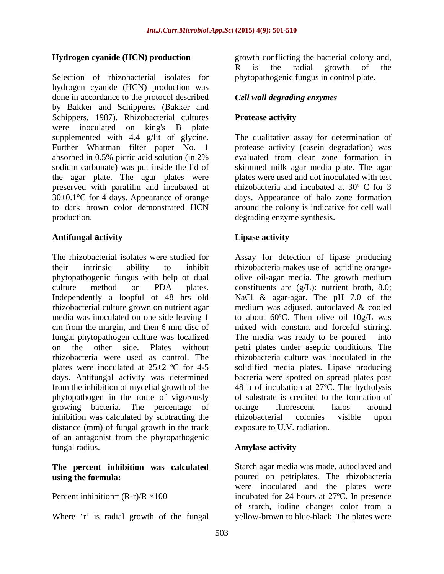Selection of rhizobacterial isolates for phytopathogenic fungus in control plate. hydrogen cyanide (HCN) production was done in accordance to the protocol described by Bakker and Schipperes (Bakker and Schippers, 1987). Rhizobacterial cultures Protease activity were inoculated on king's B plate supplemented with 4.4 g/lit of glycine. Further Whatman filter paper No. 1 protease activity (casein degradation) was absorbed in 0.5% picric acid solution (in 2% sodium carbonate) was put inside the lid of skimmed milk agar media plate. The agar the agar plate. The agar plates were plates were used and dot inoculated with test preserved with parafilm and incubated at 30±0.1°C for 4 days. Appearance of orange to dark brown color demonstrated HCN around the colony is indicative for cell wall production. degrading enzyme synthesis.

#### **Antifungal activity**

The rhizobacterial isolates were studied for Assay for detection of lipase producing their intrinsic ability to inhibit rhizobacteria makes use of acridine orangephytopathogenic fungus with help of dual culture method on PDA plates. constituents are  $(g/L)$ : nutrient broth, 8.0; Independently a loopful of 48 hrs old NaCl & agar-agar. The pH 7.0 of the rhizobacterial culture grown on nutrient agar medium was adjused, autoclaved & cooled media was inoculated on one side leaving 1 to about 60ºC. Then olive oil 10g/L was cm from the margin, and then 6 mm disc of mixed with constant and forceful stirring. fungal phytopathogen culture was localized on the other side. Plates without petri plates under aseptic conditions. The rhizobacteria were used as control. The rhizobacteria culture was inoculated in the plates were inoculated at 25±2 ºC for 4-5 solidified media plates. Lipase producing days. Antifungal activity was determined bacteria were spotted on spread plates post from the inhibition of mycelial growth of the phytopathogen in the route of vigorously growing bacteria. The percentage of inhibition was calculated by subtracting the rhizobacterial colonies visible upon distance (mm) of fungal growth in the track of an antagonist from the phytopathogenic fungal radius. Amylase activity

# **The percent inhibition was calculated**

Where  $\dot{r}$  is radial growth of the fungal

**Hydrogen cyanide (HCN) production**  growth conflicting the bacterial colony and, R is the radial growth of the

### *Cell wall degrading enzymes*

### **Protease activity**

The qualitative assay for determination of evaluated from clear zone formation in rhizobacteria and incubated at 30º C for 3 days. Appearance of halo zone formation

### **Lipase activity**

olive oil-agar media. The growth medium The media was ready to be poured 48 h of incubation at 27ºC. The hydrolysis of substrate is credited to the formation of orange fluorescent halos around rhizobacterial colonies visible upon exposure to U.V. radiation.

#### **Amylase activity**

**using the formula:** poured on petriplates. The rhizobacteria Percent inhibition=  $(R-r)/R \times 100$  incubated for 24 hours at 27°C. In presence Starch agar media was made, autoclaved and were inoculated and the plates were of starch, iodine changes color from a yellow-brown to blue-black. The plates were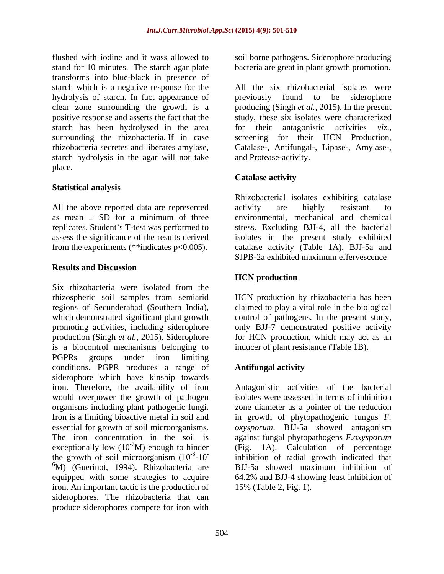flushed with iodine and it wass allowed to soil borne pathogens. Siderophore producing stand for 10 minutes. The starch agar plate bacteria are great in plant growth promotion. transforms into blue-black in presence of hydrolysis of starch. In fact appearance of previously found to be siderophore starch has been hydrolysed in the area for their antagonistic activities viz., surrounding the rhizobacteria. If in case screening for their HCN Production, starch hydrolysis in the agar will not take place. The contract of the contract of the contract of the contract of the contract of the contract of the contract of the contract of the contract of the contract of the contract of the contract of the contract of the con

### **Statistical analysis**

All the above reported data are represented activity are highly resistant to

#### **Results and Discussion**

Six rhizobacteria were isolated from the rhizospheric soil samples from semiarid HCN production by rhizobacteria has been regions of Secunderabad (Southern India), claimed to play a vital role in the biological which demonstrated significant plant growth control of pathogens. In the present study, promoting activities, including siderophore only BJJ-7 demonstrated positive activity production (Singh *et al.,* 2015). Siderophore is a biocontrol mechanisms belonging to PGPRs groups under iron limiting conditions. PGPR produces a range of **Antifungal activity** siderophore which have kinship towards iron. Therefore, the availability of iron Antagonistic activities of the bacterial would overpower the growth of pathogen organisms including plant pathogenic fungi. zone diameter as a pointer of the reduction Iron is a limiting bioactive metal in soil and in growth of phytopathogenic fungus *F.* essential for growth of soil microorganisms. *oxysporum*. BJJ-5a showed antagonism The iron concentration in the soil is against fungal phytopathogens *F.oxysporum* exceptionally low  $(10^{-7}M)$  enough to hinder (Fig. the growth of soil microorganism  $(10^{-8}-10)$  inhibition of radial growth indicated that the growth of soil microorganism  $(10^{-8}-10^{-10})$  inhibition of radial growth indicated that  ${}^{6}M$ ) (Guerinot, 1994). Rhizobacteria are BJJ-5a showed maximum inhibition of equipped with some strategies to acquire 64.2% and BJJ-4 showing least inhibition of iron. An important tactic is the production of siderophores. The rhizobacteria that can produce siderophores compete for iron with

starch which is a negative response for the All the six rhizobacterial isolates were clear zone surrounding the growth is a producing (Singh *et al.,* 2015). In the present positive response and asserts the fact that the study, these six isolates were characterized rhizobacteria secretes and liberates amylase, Catalase-, Antifungal-, Lipase-, Amylase-, starch hydrolysis in the agar will not take and Protease-activity. previously found to be siderophore for their antagonistic activities *viz*., screening for their HCN Production,

# **Catalase activity**

as mean  $\pm$  SD for a minimum of three environmental, mechanical and chemical replicates. Student's T-test was performed to stress. Excluding BJJ-4, all the bacterial assess the significance of the results derived isolates in the present study exhibited from the experiments (\*\*indicates p<0.005). catalase activity (Table 1A). BJJ-5a and Rhizobacterial isolates exhibiting catalase activity are highly resistant to environmental, mechanical and chemical SJPB-2a exhibited maximum effervescence

# **HCN production**

for HCN production, which may act as an inducer of plant resistance (Table 1B).

# **Antifungal activity**

 $^{-7}$ M) enough to hinder (Fig. 1A). Calculation of percentage isolates were assessed in terms of inhibition BJJ-5a showed maximum inhibition of 15% (Table 2, Fig. 1).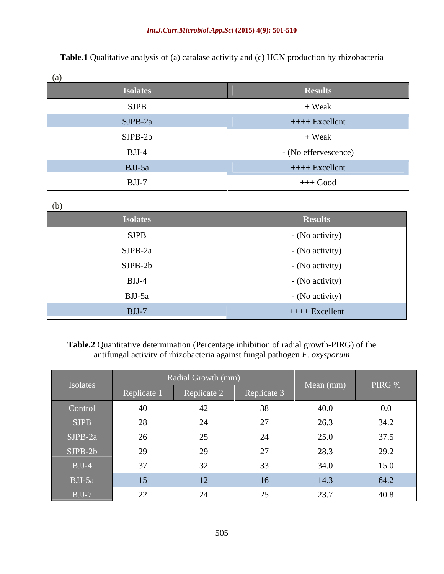**Table.1** Qualitative analysis of (a) catalase activity and (c) HCN production by rhizobacteria

| (a)             |                      |
|-----------------|----------------------|
| <b>Isolates</b> | <b>Results</b>       |
| <b>SJPB</b>     | + Weak               |
| $SJPB-2a$       | $++++$ Excellent     |
| $SJPB-2b$       | $+$ Weak             |
| $BJJ-4$         | - (No effervescence) |
| $BJJ-5a$        | $++++$ Excellent     |
| $BJJ-7$         | $+++$ Good           |

| (b)             |                  |
|-----------------|------------------|
| <b>Isolates</b> | <b>Results</b>   |
| <b>SJPB</b>     | - (No activity)  |
| SJPB-2a         | - (No activity)  |
| $SJPB-2b$       | - (No activity)  |
| $BJJ-4$         | - (No activity)  |
| BJJ-5a          | - (No activity)  |
| $BJJ-7$         | $++++$ Excellent |

# **Table.2** Quantitative determination (Percentage inhibition of radial growth-PIRG) of the antifungal activity of rhizobacteria against fungal pathogen *F. oxysporum*

|                                               |              | Radial Growth (mm) |             |           |         |
|-----------------------------------------------|--------------|--------------------|-------------|-----------|---------|
| Isolates                                      | Replicate    | plicate 2          | Peplicate 3 | Mean (mm) | PIRG %  |
| Control                                       | 40           |                    |             | 40.0      | $0.0\,$ |
| SJPB                                          | $\angle 8$   |                    |             |           | 34.2    |
| $SJPB-2a$                                     | $20^{\circ}$ |                    |             |           | 37.5    |
| $SJPB-2b$                                     | 29           |                    |             | 28.3      | 29.2    |
| $BJJ-4$                                       | 37           |                    |             | 34.0      | 15.0    |
| $BJJ-5a$                                      | 15           |                    | 16          | 14.3      | 64.2    |
| $\begin{array}{ccc} \text{BJJ-7} \end{array}$ | 22           |                    |             | 237       | 40.8    |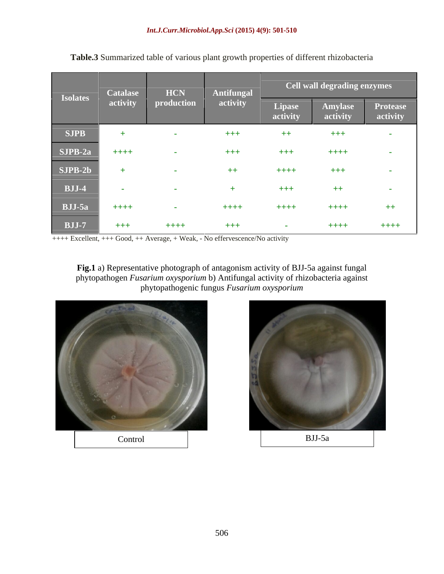|                                                                                                                                | <b>Catalase</b> | <b>HCN</b>                  | Antifungal |                    | Cell wall degrading enzymes |                             |
|--------------------------------------------------------------------------------------------------------------------------------|-----------------|-----------------------------|------------|--------------------|-----------------------------|-----------------------------|
| <b>Isolates</b>                                                                                                                | activity        | production                  | activity   | Lipase<br>activity | Amylase<br>activity         | <b>Protease</b><br>activity |
| <b>SJPB</b>                                                                                                                    |                 |                             | $+ + +$    | $++$               | $+++$                       |                             |
| SJPB-2a                                                                                                                        | $+ + + + +$     | <b><i><u>Part 1</u></i></b> | $+ + +$    | $+ + +$            | $+++$                       | <b>Contract Contract</b>    |
| SJPB-2b                                                                                                                        |                 |                             | $++$       | $+++$              | $+ + +$                     | <b>Contract</b>             |
| $\overline{\qquad}$ BJJ-4                                                                                                      | $\sim$          |                             |            | $^{+++}$           | $++$                        | <b>STATE</b>                |
| BJJ-5a                                                                                                                         | $++++$          | $\sim$                      | $++++$     | $+++$              | $+++$                       | $++$                        |
| and the state of the state of the state of the state of the state of the state of the state of the state of th<br><b>BJJ-7</b> | $+ + +$         | $+ + + +$                   | $+ + +$    | <b>Contract</b>    | $+++$                       | $+ + + + +$                 |

**Table.3** Summarized table of various plant growth properties of different rhizobacteria

++++ Excellent, +++ Good, ++ Average, + Weak, - No effervescence/No activity

**Fig.1** a) Representative photograph of antagonism activity of BJJ-5a against fungal phytopathogen *Fusarium oxysporium* b) Antifungal activity of rhizobacteria against phytopathogenic fungus *Fusarium oxysporium*



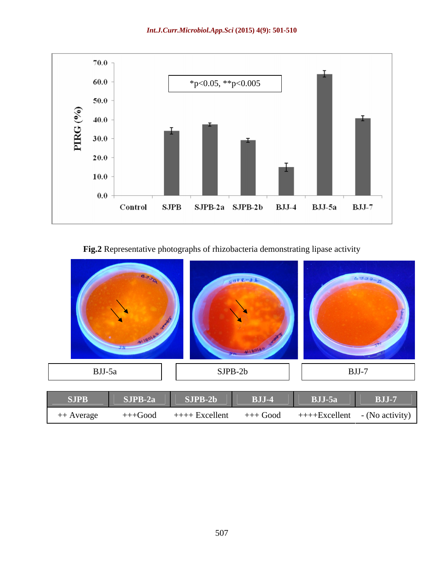

**Fig.2** Representative photographs of rhizobacteria demonstrating lipase activity

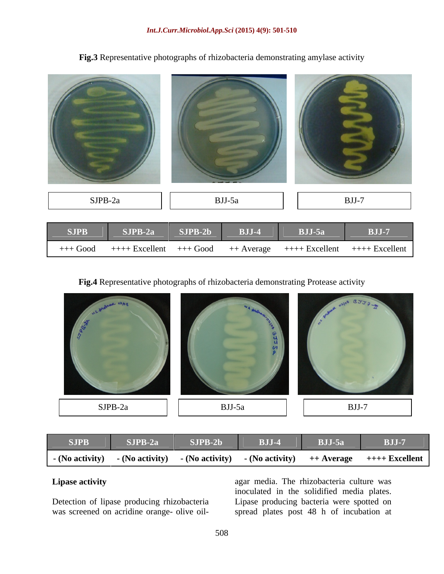| $BJJ-5a$ | $BJJ-7$ | <b>BJJ-5a</b><br><b>BJJ-7</b> |  |
|----------|---------|-------------------------------|--|
|          |         |                               |  |

**Fig.3** Representative photographs of rhizobacteria demonstrating amylase activity

**Fig.4** Representative photographs of rhizobacteria demonstrating Protease activity



| <b>SJPB</b>     | $SJPB-2a$       | $SJPB-2b$       | DET.<br><u> 200 - 1</u> | RTL5<br>$\boldsymbol{\nu}$ oo $\boldsymbol{\nu}$ a | <b>BJJ-7</b>             |
|-----------------|-----------------|-----------------|-------------------------|----------------------------------------------------|--------------------------|
| - (No activity) | - (No activity) | - (No activity) | (No activity)           | ++ Average                                         | ⊦ Excellent<br>$+ + + +$ |

**Lipase activity Lipase activity Lipase activity Lipase activity Lipase activity Lipase activity Lipase activity Lipase activity Lipase activity Lipase activity Lipase activity Lipase activity Lipas** Detection of lipase producing rhizobacteria Lipase producing bacteria were spotted on Lipase activity<br>
agar media. The rhizobacteria culture was<br>
inoculated in the solidified media plates.<br>
Detection of lipase producing rhizobacteria<br>
was screened on acridine orange- olive oil-<br>
spread plates post 48 h of i inoculated in the solidified media plates. spread plates post 48 h of incubation at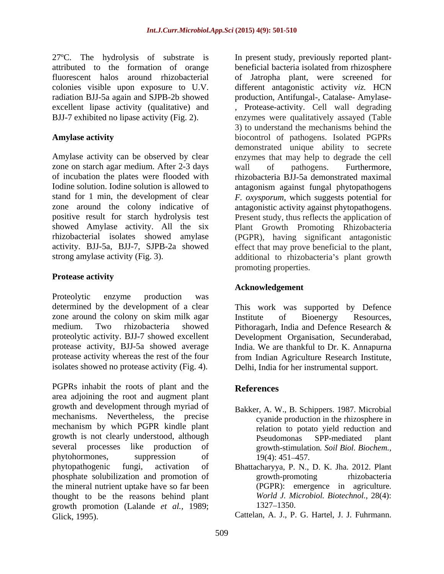radiation BJJ-5a again and SJPB-2b showed

zone on starch agar medium. After 2-3 days wall of pathogens. Furthermore, of incubation the plates were flooded with

### **Protease activity**

Proteolytic enzyme production was determined by the development of a clear zone around the colony on skim milk agar Institute of Bioenergy Resources, medium. Two rhizobacteria showed Pithoragarh, India and Defence Research & proteolytic activity. BJJ-7 showed excellent Development Organisation, Secunderabad, isolates showed no protease activity (Fig. 4).

PGPRs inhabit the roots of plant and the References area adjoining the root and augment plant growth and development through myriad of mechanisms. Nevertheless, the precise mechanism by which PGPR kindle plant growth is not clearly understood, although Pseudomonas SPP-mediated plant several processes like production of growth-stimulation*. Soil Biol. Biochem.,* phytohormones, suppression of 19(4): 451–457. phytopathogenic fungi, activation of Bhattacharyya, P. N., D. K. Jha. 2012. Plant phosphate solubilization and promotion of growth-promoting thizobacteria<br>the mineral nutrient uptake have so far been (PGPR): emergence in agriculture. the mineral nutrient uptake have so far been thought to be the reasons behind plant World J. Microbiol. Biotechnol., 28(4): growth promotion (Lalande *et al.,* 1989; Glick, 1995). Cattelan, A. J., P. G. Hartel, J. J. Fuhrmann.

27ºC. The hydrolysis of substrate is In present study, previously reported plant attributed to the formation of orange beneficial bacteria isolated from rhizosphere fluorescent halos around rhizobacterial of Jatropha plant, were screened for colonies visible upon exposure to U.V. different antagonistic activity *viz.* HCN excellent lipase activity (qualitative) and , Protease-activity. Cell wall degrading BJJ-7 exhibited no lipase activity (Fig. 2). enzymes were qualitatively assayed (Table **Amylase activity** biocontrol of pathogens. Isolated PGPRs Amylase activity can be observed by clear enzymes that may help to degrade the cell Iodine solution. Iodine solution is allowed to antagonism against fungal phytopathogens stand for 1 min, the development of clear *F. oxysporum*, which suggests potential for zone around the colony indicative of antagonistic activity against phytopathogens. positive result for starch hydrolysis test Present study, thus reflects the application of showed Amylase activity. All the six Plant Growth Promoting Rhizobacteria rhizobacterial isolates showed amylase (PGPR), having significant antagonistic activity. BJJ-5a, BJJ-7, SJPB-2a showed effect that may prove beneficial to the plant, strong amylase activity (Fig. 3).  $\qquad \qquad$  additional to rhizobacteria's plant growth production, Antifungal-, Catalase- Amylase- 3) to understand the mechanisms behind the demonstrated unique ability to secrete wall of pathogens. Furthermore, rhizobacteria BJJ-5a demonstrated maximal promoting properties.

#### **Acknowledgement**

proteolytic activity. BJJ-7 showed excellent Development Organisation, Secunderabad, protease activity, BJJ-5a showed average India. We are thankful to Dr. K. Annapurna protease activity whereas the rest of the four from Indian Agriculture Research Institute, This work was supported by Defence Institute of Bioenergy Resources, Pithoragarh, India and Defence Research & Delhi, India for her instrumental support.

## **References**

- Bakker, A. W., B. Schippers. 1987. Microbial cyanide production in the rhizosphere in relation to potato yield reduction and Pseudomonas SPP-mediated plant 19(4): 451 457.
- growth-promoting rhizobacteria (PGPR): emergence in agriculture*. World J. Microbiol. Biotechnol.,* 28(4): 1327 1350.
-